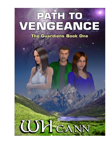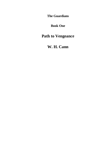**The Guardians**

**Book One**

**Path to Vengeance**

**W. H. Cann**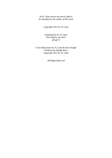*W.H. Cann asserts the moral right to be identified as the author of this work*

*Copyright 2012 W. H. Cann*

*Published by W. H. Cann This Edition Jan 2012 (Draft 7)*

*Cover Illustration W. H. Cann & Steve Knight Produced by Knight-Ware Copyright 2012 W. H. Cann*

*All Rights Reserved*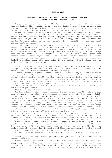## **Prologue**

### **Mabraant, Mabra System, Fazaal Sector, Gaashox Quadrant Calendar of the Ancients 11,190**

Grogaan was standing by one of the large viewing windows at the main space port in Herloan City, staring up into the sky feeling happier than he could ever remember. He was waiting excitedly for the arrival of his fiancée Miranda who was returning from a visit to Breolis Primar in the nearby star system.

He was well respected at Mabraant Engineering where he worked and had excelled in his abilities as an engineer, had recently passed his advanced flying course, and it was the first anniversary of his engagement to Miranda. In another year he would be reapplying to join the Mabra Defence Academy, and hopefully start his fighter training following in his father's, his grandfather's, and his great grandfather's footsteps.

The ship was overdue by an hour. His excitement diminished slowly as time passed, and he became anxious for her safe arrival. Most ships arriving in the Mabra System were late these days because their arrival had to be timed with that of a fighter escort, but that did not prevent him from worrying. The escort ships were the new Manta Class Interceptors, a fast and beautiful starfighter that Grogaan hoped to start flying once he was enrolled into the Academy. He recalled a time when it was not necessary for ship escorts, but that was before the Krelathan raiders began attacking ships in the systems that bordered that of Krela, the raiders' home system.

Out on the edge of the system the transport arrived. "Mabra Defence, this is transport beta-gamma-seven-four-three; we are under attack. I repeat, we are under attack," said the communications officer calmly.

Fifteen Krelathan fighters appeared from behind the nearby moon and several of them opened fire. Blue laser bolts streaked across space and hit the transport on the port side knocking out all the electronic systems, rendering the ship dead in space. Five of the larger attacking ships closed in, not to destroy the ship but to dock and board her. Moments later, five interceptors from the Mabra Defence Force arrived and immediately opened fire.

"Alpha Squadron, let"s go do our job," said Commander Learman. "Watch your backs and do your best."

"Yes Sir!" responded the four other pilots.

The Mabra Defence pilots were outnumbered three to one, but that did not stop them fighting with skill and tenacity despite four of them being fairly inexperienced in combat. Commander Ruebern Learman was a veteran fighter, highly respected and one of the best pilots in the force. He was also one of the last of those that had more than five years experience in combat. The four younger pilots remained in pairs as they fought, but one by one they were killed by the Krelathans. Ruebern broke off formation and chased one of the larger ships heading for the transport; a few seconds later it exploded. Without hesitation he targeted another, and another, calm and focussed on the task ahead. With three ships destroyed, he veered off to avoid an oncoming pair.

On board the transport, Miranda Talashon was standing beside her father watching the fight, fearing for their lives knowing the reputation of the Krelathan raiders. She desperately wanted to get home to be with her fiancé Grogaan, to feel safe again, but wondered what was going to happen now.

"Damn those Krelathan scum," said Alandra angrily, his wife staring at him in shock never having heard him curse before. "The Senate will hear about this, and I will make sure they do something about it. It's time they put the lives of their people above their damn bickering and financial prudence. It's time we took the fight to these scum and put an end to their villainy."

Unfortunately, he never got to voice his opinions or arguments to the Senate.

"Watch your back Sir! You"ve got three on your tail," said flight officer Andrews anxiously.

"Roger Andrews, and thanks." Ruebern tried to shake them off, but they were good, very good, and as soon as he managed to lose one, either another took up the pursuit or the one he lost managed to fall back on his tail. Despite his skills in evading the pursuers, several laser bolts hit his fighter at the stern;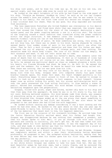his ship lost power, and he knew his time was up. He was on his own now, one against eight, and they were odds even he could not survive against.

He looked at the small holophoto of his wife he had fixed on the side panel of his ship. "Forgive me Kareana. Goodbye my love," he said as he run two fingers across the woman's face and sighed. His one regret was that he was unable to say goodbye to his family. For the first time since his second son Grogaan was born, a tear trickled down his cheek. Then he was gone. His ship exploded and vanished from existence.

The less experience Krelathan who killed Ruebern was overzealous in his desire to take his first kill, and fired more shots than was required. One single laser bolt that missed the fighter hit the stern of the transport destroying a small access panel and the power coupling behind: a one in a million shot. The failure of the coupling caused a chain reaction that travelled along the power conduits within the ships structure. A few moments later the transport exploded in a massive fireball taking out two of the Krelathan fighters.

Grogaan was in a state of panic. He knew something was wrong, very wrong. He did not know how, but there was no doubt in his mind. Gazing skywards he clearly sensed death; four sudden stabs of pain in his mind and spirit one after the other. Then he felt a much stronger sensation and knew that his father was dead. He sensed the cry of anguish, a moment of intense pain, and then nothing. The sensation made his whole body tingle. The loss of his father cut him deeply. He felt nauseous and weak. It was not over: worse was to come.

He had not even had time to accept his father"s death, when moments later the sense of death that hit him was overwhelming. It felt as if hundreds of lives had been lost simultaneously, all crying out as one. Amongst the multitude of deaths he felt, he sensed one particular death as clear as someone plunging a knife into his heart; his fiancée Miranda had died. He knew it. He felt it. He sensed the pain and the sadness. For a moment he swore he heard his name being called out. Then there was nothing. She too was gone from his life.

The loss cut him to the very core of his being. It felt as if his soul was being torn from his body. Grogaan went into complete shock; his gaze fixed blankly towards space. His knees felt weak. His heart thumped painfully in his chest. Everything began to swirl around in front of him. He wanted to scream in grief, to lash out at anything nearby, to hurt someone, to hurt himself. Intense anger rose up within hiding his grief, but his strong self-discipline built up over the years prevented him from acting foolishly, or from making a scene in public. Hatred and contempt followed. His mind became filled with thoughts of extracting vengeance upon the perpetrators.

Grogaan, filled with grief, anger and hatred, walked idly back to his ship and then flew away from the spaceport. He knew he was in no fit state to fly, but did not care: Nothing mattered anymore. His mind became numb from shock, was unaware of everything going on around him, and did not even know where he was flying. As if fate directed him, Grogaan ended up at the one place that meant something to him; Lake Mabreese where he had first met Miranda. It was also where he had proposed to her and where she had filled him with happiness.

He landed without causing any damage considering it was a hard landing and the worst he had ever done. He walked to the spot where on that day one year ago he asked Miranda to marry him. Sitting on the dry grass beside the stream he thought of the two memories that meant most to him, his happiest memories.

The first was on the occasion of his sixteenth birthday. He arrived home from the Junior Education Faculty excited about what his father had bought him. Grogaan was disappointed because he saw nothing that resembled a present, and then his father spoke to him: Well, if you go through life with such little patience and lacking in curiosity, you won't get far. He had then taken him into the garage where his first spaceship was parked. It was the happiest day of his life, and what made it even better was that his father had secured him a place at Mabraant Engineering as an apprentice engineer.

Six years later and as a direct result of his flying, he met Miranda. Grogaan was completely smitten and within a year their relationship having developed profoundly, he proposed to her. She accepted without hesitation, making that day an even better day than when his father gave him his first ship. He remembered the day perfectly.

Miranda loved swimming and had gone for a swim in the lake. When she came out in her white bikini Grogaan was unable to take his eyes from her. She was the most beautiful woman he had ever seen, had a lovely figure, and he savoured the sight of her wet skin glistening in the sunlight. She stopped beside him and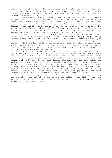slipped on her white dress. Kneeling before her he asked her to marry him, and the joy he felt when she accepted was indescribable. The image of her standing towards the lake holding her hand high and gazing admiringly at her ring was permanently etched into his mind.

For a few moments the memory brought happiness to his soul, but then reality snapped back and took that happiness away. His brother Ben had been killed in action while fighting against the Krelathans only a week before. Now today his father had been killed and his fiancée too. His father, Ruebern Learman, was Grogaan's hero and the one he looked up to. He wanted to grow up to be like him, a good husband, father, and most of all a fighter pilot. Miranda was his one true love and the one he hoped to spend the rest of his life with; his soul mate, his everything. Words could not describe how he truly felt about her.

The fresh realisation that he had lost her hit Grogaan even harder this time. It was like a laser bolt striking his chest. It cut him so deeply and profoundly he simply lost the will to live. As far as he was concerned there was nothing to live for now Miranda was gone. The pain of his loss was intense. Every part of him hurt. His heart felt as if it was about to rupture. His mind was reeling from grief, anger and hatred. The grief was choking him, the anger and hatred towards the Krelathans eating away at his soul. The strength of those emotions was too much for him to cope with: He blacked out.

Fate had dealt an unfair hand to Grogaan, or so it appeared. He went from a joyous young man who had everything to live for to one who had lost all he cared for, even the will to live. He awoke as dusk was falling feeling very bad. Never had he felt so thoroughly wretched and worthless. He managed to stand up, but remained where he was. He pictured Miranda standing with her hand raised and gazing admiringly at her ring, the diamonds sparkling in the sun. "Miranda my sweet rose, I love you, will always love you." After choking back the grief threatening to overwhelm him again, he wiped fresh tears from his face and looked skyward. "I vow to avenge your death, that of your parents, my brother and my father. I swear I will make those damn Krelathan scum pay dearly for their atrocities. I swear I'll not rest until they are vanquished or I am dead."

The losses Grogaan experienced would turn this young man into a deadly force, the one who would act above and beyond his calling, the light within the darkness, the storm that leaves havoc in its wake, the lightning bolt that strikes with devastating results.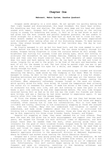## **Chapter One**

#### **Mabraant, Mabra System, Gaashox Quadrant**

Grogaan awoke abruptly in a cold sweat. He sat upright too quickly making him feel light headed and disorientated. His head throbbed. His heart beat wildly. His breathing was fast and shallow. The sheets were damp and his head and chest soaked with sweat. Grogaan fell back onto his pillow staring at the ceiling trying to steady his breathing and relax. It felt as if he had drunk so much it had given him the most intense and painful hangover possible. He was unable to think straight for a while, and his head hurt so much he had to close his eyes. Every breath seemed to cause pain in his lungs. Grogaan had never experienced such discomfort after waking after one of his disturbing dreams. To make matters worse, they always brought back memories of that terrible day, the day he lost his loved ones.

He finally managed to sit up but his head hurt, and the room seemed to swirl around before him making him feel nauseous. The sun shone brightly through his window, Grogaan having forgotten to close the curtains before he fell asleep. The brightness was hurting his already tired and aching eyes, which did nothing to alleviate the discomfort he was already feeling. Rubbing his hands across his brow and then over his black crew-cut hair, he felt droplets of sweat running down his neck and back making him shiver. He lay back on the bed and tried to relax, longing for an end to the grief, to be free of the pain and heartache, and most of all for the dreams to end. The last thing he wanted right now was to get up for work, so he closed his eyes for a while, and images of the dream began racing through his mind.

Grogaan tried to make sense of them, but everything was clouded and blurred obscuring the detail, made worse by the thumping in his head. When he finally managed to relax, he went to the refresher unit to indulge in a long hot shower. Standing motionless and allowing the hot water to rinse away all the tension that had built up in his body, his muscles slowly began to loosen, easing the stiffness. When adequately refreshed, Grogaan turned on the warm air blower, which quickly dried his body. Once dried, he turned the temperature down allowing the cooler air to reawaken his senses. It made him shiver a few times, but served to stimulate his body into life, and yet did nothing to ease the pain in his head; a pain like nothing he had ever experienced before. The only time Grogaan recalled having felt as bad as he did now was the night his fiancée and father were killed, and was a feeling he had never wanted to experience again. It was shortly after this time that the dreams began.

At first the dreams were light and infrequent, but now they had become more regular, intense and disturbing, and were beginning to make him tense and deeply troubled, often causing him to lose his concentration. This in turn made him irritable and touchy, resulting in him occasionally snapping at those who annoyed him, even his friends. Many did not understand his troubles or wanted to understand, and made snide comments about him to others, or criticised him thinking him a troublemaker. There were however, those who knew why he acted the way he did, especially his three close friends; Zaack, Doraant, and Eldaan.

Despite his snapping at them, they never rebuked him or took offence. They were the ones who had given him so much encouragement and support over the past years, who helped him through his most difficult times of depression, and were always there when he needed them the most, often putting aside their own interests for the good of their troubled friend. Grogaan knew he had three really good friends, true friends, and was extremely grateful to them. He owed them so much and tried to repay that kindness anyway he could. The one main and beneficial act he managed to do, was securing a transfer for them from the domestic appliance division to the spacecraft division at Mabraant Engineering, where he himself had worked since leaving the Junior Education Faculty.

Grogaan was a jovial easy going young man, friendly, kind and generous. He had a surprisingly adept ability of hiding his problems from others, or if in a bad mood while in the company of other people, maintaining an air of composure and calm. Unfortunately, this self control began waning as his dreams became more frequent and grew in intensity, resulting in him becoming withdrawn and melancholy if left on his own for long periods of time.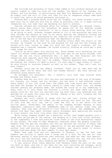The solitude and quietness of those times added to his troubles because he was usually unable to take his mind off the dreams, the deaths of his fiancée, his father, and his brother. On particularly bad days his depression became so acute he simply lost the will to live, but then his vow of vengeance always came back to haunt him, and so he would persevere and press on.

Knowing what a problem being alone was for Grogaan, his three friends tried to make sure one of them was with him as often as possible, even if it meant putting themselves out, but even that was becoming too hard to achieve.

Feeling relaxed and refreshed after his shower, Grogaan got dressed slowly. Before going down stairs for breakfast he gazed out of his bedroom window admiring the view of the mountains. It was a lovely sunny morning, much too nice to be going to work. Instead, Grogaan wanted to fly to the mountains and race his ship through the canyons as fast as he could, getting the adrenalin flowing and excitement in his heart pretending he was fighting the cursed Krelathans. It was one of the few ways he successfully kept the depression at bay.

With a heavy sigh he left his room, walking slowly down the stairs to the kitchen. He thought of the work he had planned for him and his few friends who worked with him, trying to keep his mind off the night's troubles, but his headache was a constant reminder. He cursed silently, wishing he could get a good night sleep for once.

"You"re up early again this morning son. Those dreams still bothering you are they?" his mother asked sympathetically. She knew what he was going through, even though she did not fully understand why. It made her feel helpless and this caused her much anguish, more than she could sometimes cope with.

He nodded slowly. "They are," he sighed. "They're becoming more frequent and disturbing, but there's no need to worry. I'm sure they'll pass sooner or later," he said trying to convince himself as well as his mother. "They can"t last for much longer."

Kareana could see he was deeply troubled. "Have you no idea what may be causing them? You"ve never had such bad dreams before," she said setting his breakfast plate before him.

He shrugged his shoulders. "No, I haven't, only that they started after Miranda and father died."

Kareana knew her son still felt the pain and heartache at the loss of Miranda, his fiancée, his father and his brother, and how much it had affected almost every aspect of his life since then. She hoped that time would heal the wounds, and when she thought he was finally coming to terms over their loss, the dreams started undoing any progress made. She wished she could do or say something to help, even if it only eased the distress a little, but knew there was nothing anyone could do. She only now realised just how much their loss affected him, and decided not to press the issue any further. Adding to her son"s troubles was the last thing she wanted to do.

Kareana was still coming to terms with her own loss. Living without her husband Ruebern, and Ben her eldest son was proving very hard for her. The pain of that loss was still raw, and at times she felt as if her whole life was falling apart. Oftentimes, the memory of her husband brought Kareana so much happiness, especially when she remembered some of the special times they had together, when they went off-world to visit Breolis Primar. She remembered their second trip when they spent fourteen really enjoyable days exploring and staying in local hotels; the first trip after their marriage.

While there, Ruebern bought her a beautiful silver leaf shaped pendant with a large pale yellow gem at the centre, and hanging on a long fine silver necklace. It was supposedly a rare and precious stone found in the arid mountainous region of the planet, the home of many dangerous creatures where few people travelled. Ruebern knew the gem was valuable, but did not believe the stories of where they came from. The colour and chemical composition of the gem matched that of Kopaz, another rare and precious stone. Kopaz however, was usually green in colour, ranging from pale green the most common, to very dark green.

Where they came from was not important to Kareana. It was the fact that Ruebern was willing to spend such a large sum on a gift for her was all that mattered, making it more precious than anything, and made her feel very special. She still had the necklace, kept it safe in her jewellery box, but now only wore it on the anniversary of their wedding and deaths of Ruebern and Ben.

It was usually after these memories that Kareana found the pain of her loss too much to bear, and had it not been for her only surviving son Grogaan, would have broken down completely. It was because of Grogaan that she worked hard to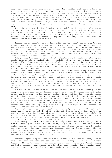cope with daily life without her soul-mate. She recalled what her son told her when he returned home after proposing to Miranda; the memory bringing a joyous smile to her face: 'You know what mother, you and father are soul-mates, you know that don"t you? If me and Miranda are like you two after we"re married, I"ll be the happiest man in the universe." He used to call Miranda his soul-mate, and only now did she truly understand why he did, which was why not being able to help him overcome or resolve his problems hurt her emotionally, feeling that she was failing as a mother. Kareana knew all she could do was to be there for her son.

When she saw him in his happier more jovial mood, the way she always remembered him before he lost Miranda, it always lifted her spirits and gave her just cause to be thankful that at least she had him to care for. She was not alone in her situation. Several of her friends and people she knew had lost husbands or sons in the various engagements, and they often comforted one another, but it was not always enough.

Grogaan picked absently at his food while thinking about the dreams. The one he had suffered the most over the past two years was of a space battle where he saw starfighters darting between capital ships, laser bolts flying everywhere, hitting both fighters and capital ships. The cost in lives and equipment was far beyond his comprehension: the true reality of war. Then he was no longer flying a starfighter. He was still involved in the battle, but was on board one of the large strangely designed capital ships.

This puzzled him because he could not understand why he would be watching the battle from inside a capital ship, especially when it was obvious he was a fighter pilot. Suddenly, the interior of the ship seemed to darken and enclose around him, suffocating him. Then there was a massive explosion that tore the ship apart. Everything suddenly went black, at which point Grogaan always awoke suddenly and in a cold sweat.

The other dream, which was the more recent one he started experiencing and caused him the most distress, was that of a woman trapped inside the ruins of a building. It troubled him greatly, but was unable to understand why. Grogaan knew few women, and the only one whose loss could cause any distress for him now would be his mother. However, for some reason beyond his comprehension, he knew that she was not the woman in his dream, and assumed that it might be someone he would meet in the future. Shaking his head gently he took a bite of his food. The food tasted bitter in his mouth, which increased his discomfort and he soon lost his appetite.

His mother watched him with sadness in her heart as he picked absently at his food, not having seen him so depressed for a long time. It caused her much grief to see him like this, making her cry inside. He dropped his fork onto the plate, put his elbows on the table, and rested his chin in his cupped hands; his appetite gone. Kareana could see that he was sinking into one of his depressive moods and thought it wise to divert his attention from the dreams. She looked at him inquisitively for a moment, thinking what to say. "Oh by the way, you"re friends have been looking for you over the past few days, which surprised me because I thought you were with them."

Not wanting to reveal much about where he went, and knowing it would only cause her upset if he did, he simply explained that he went to Herloan City on some personal errands. He poured some fruit juice into a glass and swirled it around a little before taking a mouthful. The sweetness eased the bitter taste in his mouth, but failed to improve how he was feeling. He sighed heavily.

"Care to elaborate?" she asked inquisitively.

"Not really in the mood right now, but maybe some other time if you don"t mind." Finishing his drink in a few gulps, he got up and left for work without saying another word, leaving his mother more worried than she had been. Resisting the urge to cry, Kareana watched him disappear through the back door. She had cried far too much over the past three years and now needed to remain strong, something she had found easier until her son began having the dreams, but now it was becoming increasingly more difficult.

Mabraant Engineering was just over half an hour"s walk from his home, both of which were situated near the edge of Herloan, principle city of the Wosfere District. It was the primary maintenance and repair depot in the Fazaal sector, and had a specially constructed land-based docking facility for repairing craft that were too large for the internal repair site. There was however, no space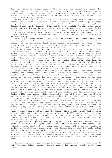dock for the major capital cruisers that often passed through the sector. The internal repair site catered for everything else, from domestic appliances to medium sized transports. Grogaan and his team were responsible for all work on spacecraft, primarily starfighters. He had been working there for ten years; his three friends for about seven.

Having left home earlier than usual, he ambled slowly kicking some of the stones that littered the roadway. It took almost fifteen minutes longer to reach work, not that he was in a hurry to get there. With each step he took his depressed mood slowly deepened. There had been no rainfall for almost two weeks, so the road was dry and dusty. On either side of the road there were green fields that stretched into the distance: to his left the Potrodand Mountains, and to his right the lowland farmsteads. He always preferred to walk to work, gazing at the fields and mountains as he wandered along, the sights and sounds of nature always cheering him up.

On this particular morning, Grogaan was so depressed he neither looked, nor even thought of the fields and mountains as he walked. By the time he reached the entrance to the maintenance depot he was feeling so miserable he wanted to turn right around and return home to his bed. His shoulders were hunched, his head hung low, but they were not as low as his spirits.

When he entered the building he found that he was one of the first to arrive. This pleased him as he would not have to face any of the others straight away, giving him a little time to perk up, which he usually did once in work. Only the supervisors had arrived before him, and most of them rarely entered the hangar so early unless they were checking on the work programmes. Grogaan went into the engineers' crew room to change into his coveralls. After taking them from his locker he noticed that there was a green microdisk in the disk slot of the door. After slowly donning his coveralls, he took the microdisk and picked up the datareader from the table. He sat down in the chair near the window placing the reader on his lap with the disk held in his right hand.

On one side of the microdisk there was an emblem; that of the Mabra Defence Academy. The Academy was the third largest complex on Mabraant, situated on the outskirts of Stellant City in the Arlrent District. Grogaan knew it would be the answer to his application for entry into the Academy, something he had been longing to do since he was a young boy. Having had his three previous applications turned down was bad enough, but it was made much worse because the recruiting board at the Academy had given him no reasons for the rejection.

His brother, father, grandfather and great grandfather had all been pilots in the Defence Force, and he was adamant that he would follow in their footsteps. He knew there was nothing wrong with him physically or mentally, and was unable to understand why they continually refused his application. His engineering and flying skills were already highly advanced for one of his age, proving that he had the necessary abilities to become a pilot in the Mabra Defence Force, but that seemed to be insufficient merit, at least in his case.

Grogaan had submitted his first application the day after his twentieth birthday. Six long years have passed since that day, and he still remembered the joy he felt, although it had not lasted very long. The first refusal was disappointing, and even though he had not been informed why his application was refused, he assumed it was because there was an abundance of applicants that year. Grogaan later found out that the Academy did not take on the full quota of entrants that year, and so he became angry and disillusioned. Every two years after that he resubmitted his application only to be refused each time, without reason. Now he had the fourth reply in his hand, it felt much longer than two years since his last application.

The young man sat quietly contemplating for a while, wondering what the answer could be. There was a longing that it would be the answer he most desired. His melancholy mood lightened a little, being replaced with a sudden feeling of anxiety as he slid the microdisk into the datareader. He paused a while before switching it on; his trepidation increasing by the second. The screen flickered and when the menu appeared, he selected option one, and held his breath in anticipation. Moments later a message appeared on the small screen. His heart sank when he saw the words scroll across the screen, and without surprise he read:

We regret to inform you that you have been unsuccessful in your application to join the Mabra Defence Academy. You may reapply for the next intake in two years time.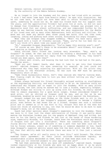General Lantine, recruit enlistment. By the authority of the Mabra Defence Academy.

He so longed to join the Academy and for years he had tried with no success. 'I wish I had never come back from Breolis Seven,' he spat with frustration. Had he not come back, he would not have been able to return Trindall"s personal yacht, something he could not do. He owed his friend much for his support over the years, and the opportunities Trindall had given him at work, so did not want to damage that friendship in an act of selfishness. Grogaan was plunged into a depressive mood that was almost suffocating, and was compounded further by the anger he was feeling towards the Krelathans who were responsible for the deaths of his loved ones and so many other Mabraantans, both military and civilian. His mood was not made any better when three young men burst into the crew room, laughing, joking and pushing each other around, disturbing his angry thoughts.

When they saw Grogaan they stopped suddenly. "What! You here early again?" asked Zaack with a touch of friendly sarcasm. "Damn, you're far too keen for us. Don't you think it's about time you eased off a bit?"

"Hi," responded Grogaan despondently. "You're happy this morning aren't you?"

"Of course we are. What"s there to be miserable about?" said Eldaan, his good mood grating on Grogaan"s bad mood.

Zaack noticed their friend was looking very miserable. "Hey, what"s up Grogaan?" he asked. He then saw his friend was holding a datareader in his hand and realised he had received his reply from the Academy. "Oh no, they haven"t turned you down again, have they?"

The others went silent, and knowing the bad luck that he had had in the past, feared the worst.

"Need you ask? Dammit Zaack, what does it take to get into that blasted place?" replied Grogaan, his eyes revealing his anguish. He just could not understand why they kept rejecting his applications. With all the pilots they were losing in the Krelathan attacks, he was sure the MDF must be getting desperately short of men.

"Damn those bureaucratic fools. Don"t they realise who they"re turning down. What flaming right do they have to turn you down without telling you why," said Zaack loyally.

Eldaan always believed his friend thoroughly enjoyed working on starfighters at the engineering facility, and would continue to do so. He therefore could not understand why Grogaan was so eager to join the Academy. With so many pilots being killed, the last thing he wanted was to lose a friend, especially Grogaan. Although Eldaan was willing to join up along with his friends, he really wanted them to remain engineers for a good while longer. Eldaan considered himself a good pilot, not as skilled as Grogaan said he was, and as far as he was concerned, doubted he would last long as a fighter pilot against the Krelathans.

Doraant nudged his way past Eldaan as the three friends went to sit in the other chairs. He knew it was Grogaan"s greatest ambition to become a fighter pilot, even before he had known him as a friend. Grogaan was such a talented pilot and it seemed as if he was born to fly. Doraant felt bad at the news but could not think of anything to say, not that he would be able to do much to ease Grogaan"s mood, not at the moment anyway.

Zaack had other opinions about Grogaan"s eagerness to join the Academy. There was more to it than just the sheer exhilaration of flying; it was partly about making the Krelathan raiders pay for the people of Mabraant they had killed, but more so for the family and friends he had lost at the hands of those murdering scum, especially Miranda, his fiancée. Zaack knew the Krelathans would pay dearly if Grogaan ever got into a starfighter. There was something about Grogaan"s flying ability that made Zaack believe it was a path that had been laid out for him by forces unknown, almost as if something or someone depended on him. Zaack knew Grogaan"s superior ability would make him the best pilot the MDF ever had, but then that ability made him believe there was more to it than just a natural gift.

"Hey Grogaan, we're all really sorry to hear this," said Doraant. The others mumbled their agreement. As their jovial attitude diminished rapidly, an uncomfortable silence descended on them. None of them knew what else to say.

"Have you lot received answers to your applications yet?"

"We had them yesterday while you were off somewhere," replied Zaack. Grogaan looked inquisitively at his friends who were not as happy about it as he would have expected. "They accepted our applications, but there's no way we're joining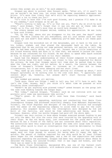unless they accept you as well," he said adamantly.

Grogaan was about to protest when Doraant spoke. "After all, if it wasn"t for you we wouldn"t be here now, let alone having become reasonable engineers and pilots. It's more than likely that we'd still be repairing domestic appliances. We've got a lot to thank you for!"

"It's nice to know that I've such good friends, and I promise I'll make it up to you someday," said Grogaan as he got up.

"There's nothing to make up. It's us that owe you. That's why we stick by each other," said Eldaan. "Don"t forget that it was you who got us these jobs and taught us to fly, and that's more than we could have dreamed for."

The others agreed and Grogaan smiled, nodding his appreciation. He was lucky to have such friends.

"Oh, by the way, where did you disappear to for the past few days?" asked Doraant. "We were looking for you everywhere, and all your mother said was that you were out and didn't know where, something you've been doing a lot these past few years."

Grogaan took the microdisk out of the datareader, put it back in the slot on his locker, sighed, and then placed the datareader back on the table. He explained that he was sorting out some personal matters, not wanting to tell them what he had been really doing, not just yet. Doraant was a little suspicious of his friend knowing there was more to it than that, and wanted to pursue the issue because he was concerned for his friend. He was about to speak when Zaack scowled at him, so Doraant slouched back in his chair rebuked.

Zaack had the deepest understanding of their friend compared to Doraant and Eldaan having known him much longer, was closer to him, and respected his desire for privacy. He knew that Grogaan would tell them what he wanted them to know when the time was right, and not before. As a result, the tension between the three of Grogaan"s friends began to increase as it often did in these circumstances, but it was never damaging and was short lived.

"Hey, ease up you three. It's not worth getting all stressed up about," said Grogaan agitatedly as he walking over to the crew room door. "I appreciate your concern about me, honestly, but please don"t start falling out between yourselves."

They nodded and agreed, all smiling.

"Look guys, there are things I need to tell you, but it"ll have to wait. Now isn't the time. Anyway, don't you think it's about time we pressed on with finishing those interceptors?"

"Haven"t we got anything else planned today?" asked Doraant as the group left the crew room heading towards the hangar bays.

"Not today," replied Grogaan. "Trindall said we can continue with our own projects until some new maintenance jobs arrive."

"That"s great. At this rate we"ll soon have them finished," said Zaack excitedly.

They were currently upgrading, modifying and overhauling four Manta Class Interceptors Grogaan had purchased relatively cheaply from Mabraant Engineering. Trindall, the Chief Engineer and designer of the starship division had arranged with the owner of the engineering company to allow them to pay for the craft gradually. His argument being that the interceptors were designed by him and built at the facility, and would be free advertising and hence, good for business. However, after two months Grogaan had paid off the whole debt.

Trindall was very curious to know where Grogaan acquired enough funding to pay not only the debt, but also the costs that were incurred by the upgrading work on their ships. He was not being nosy, just concerned for the young man"s welfare because he was a friend of the family and was concerned about their reputation. The authorities were very suspicious of people who come into large sums of money, and were often quick to start an investigation that could be detrimental to those involved.

The engineer knew the Learmans were not a wealthy family, and that Grogaan's wages were not high enough to account for being able to repay the debt so quickly. The amount of funding required for one ship would be at least fifteen years wages for the standard employee, and a few of the supervisors had asked questions regarding the purchases. Grogaan had been very secretive about where he obtained the money, but assured Trindall that it was legal and honest, and that there was no need to be concerned.

The Manta Class Interceptor, designated MCI, was one of the fastest craft available in the Gaashox Quadrant, with moderate plate armour and weapons. It was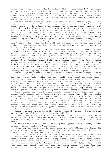an improved version of the older Manta Class Fighter, designated MCF, was faster and had heavier armour plating. It was based on the Fadaran TS5, an earlier fighter that was rapidly becoming obsolete. The TS5 had been the Defence Force"s primary starfighter until the arrival of the MCF, and now the MCI was gradually replacing the MCF"s and TS5"s that were beyond economical repair or destroyed in combat against the Krelathans.

The ship was armed with two large laser cannons, one on each wing tip, and two proton torpedo launchers. It had a standard beta class-two lightspeed drive unit rated point zero, which Grogaan had replaced with a standard beta class one unit that had a rating of point five, giving it a speed of one point five times the speed of light. It also had an onboard Fadaran Alpha-Two Navicomputer that could calculate up to ten sets of multiple co-ordinates. Most starfighters were built with only standard navicomputers capable of calculating only five sets of coordinates, forcing a ship to decelerate from lightspeed after the fifth change before being able to continue its journey. At its current specifications, the MCI was slightly larger than, although comparable to the Delta XB1 in performance, except for its firepower. The Delta XB1 was the primary starfighter used by the military in the Ladorran Quadrant, and had played an important role in the defeat of the Belocian Empire.

The models Grogaan had purchased were second-generation interceptors with improved electronics and efficiency on all systems. However, that and the overall specifications of the ships had not been good enough for Grogaan. He and his friends spent the last year working on them as often as time would allow. So far, they had fitted two additional proton torpedo launchers, along with the associated modifications required allowing a magazine capacity of five torpedoes per launcher. The wing tips had been modified allowing for the attachment of two additional laser cannons; one above and one below the wing. They had also made considerable modifications to the nose of the craft allowing the instalment of four smaller but still powerful laser cannons. This was only possible due to the interceptors' fuselage depth being greater than most other starfighters.

The fuselage attachment fittings for power generators and other major items of equipment had also been remodelled. The single power generator was replaced with two that were slightly smaller, but the overall power output was about thirtyfive per cent greater. The independent generators enabled the laser cannons and shields to be powered separately from the engines and remain on full recharge without any power drain on the engines. This in turn allowed faster recharge rates during combat situations, which could mean the difference between life and death. It also increased the power available to the engines, compensating for the extra weight of heavier armour plating that was added during the modifications.

One particular item that had substantially increased the overall cost of the interceptor"s upgrade was a Fasardan Mark Seven Sensor Array. This particular array could detect any object greater than one kilogram in mass at speeds of up to two point five times the speed of light. Coupled with the newest Fadaran alpha-six navicomputer, a ship could maintain lightspeed travel almost indefinitely. Due to their cost, each unit costing over twenty five thousand credits, very few ships had them fitted. Most of those that did were owned by extremely wealthy merchants or smugglers. Grogaan had not been able to source the new Fadaran alpha-six navicomputer yet, but intended to do so in the near future.

Doraant was deep in thought as they walked across the hangar. "I thought there was an abundance of jobs waiting?" he asked suddenly.

"There"s been a shortage of work for several months now. That"s why they"ve had to cut the working hours and wages for many of the employees. If things don't improve the management will have to start cutting down the number of workers as well."

"I thought that with all the ships being lost against the Krelathans, there"d be plenty of work coming in," said Eldaan.

"There is, but not all of it comes here, and it"s affected the demand for other maintenance work. People are holding back on the domestic side of the business. That's the area most affected here."

The others looked surprised, and were becoming very worried about their futures at Mabraant Engineering. Grogaan explained that Trindall promised him their positions were safe due to their experience and abilities on starfighters. The only engineers in the region possessing as much experience as the four young men were already working for Mabraant Engineering or in the Defence Force, which made them very valuable workers. There was another reason why their jobs were secure: the vast amount of money Grogaan had spent purchasing the four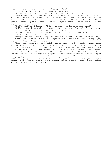interceptors and the equipment needed to upgrade them.

There was a big sigh of relief from his friends.

"We must be just about finished now, shouldn"t we?" asked Zaack.

"Near enough. Most of the main electrical components still require connecting, and then there"s the refitting of the sensor array and the targeting computer system. Once that's done we can run the functional tests. After that, there's just the uploading of the astrogation data, system charts, and starship Id's into the computer systems."

"That's all?" said Doraant. "I thought there was far more than that!"

"Well, we have been working extremely hard these past few weeks," said Zaack. "So how long will that lot take?" asked Doraant.

"For you, twice as long as the rest of us," said Eldaan teasingly.

Doraant glared at him. "Oh yeah?"

"Alright you two, that's enough. We should be finished by the end of the day." "That soon? Damn and blast! I thought we'd be working on them for days yet, even weeks," said Eldaan exasperated.

"Yeah well, there were some tricky and intense jobs I completed myself after working hours." The others glared at him. "I was feeling pretty low, and thought if I did some work it would take my mind of my troubles. The tasks needed a lot of concentration, and it was easier to do them after everyone went home. Anyway, the sooner we get started the sooner we finish. Zaack, you work with Eldaan, Doraant, you with me." Grogaan had spent a considerable amount of time working on their ships in the evenings, and even at weekends without the others knowing about it. He enjoyed the work, and found concentrating on the modifications prevented him from focussing on the dreams, and as a result, reduced the periods and intensity of his depression.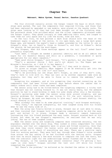### **Mabraant, Mabra System, Fazaal Sector, Gaashox Quadrant**

The four strolled casually across the hangar toward the bays in which their ships were parked. The last few components that required fitting, and those that had been replaced by upgraded or new models, were placed on the nearby racks. The ships were looking as if they had just been brought out of the finishing shop. The paintwork shone like polished metal and the silver components glistened under the hangar lights. They gazed lovingly at them admiring their work, and longed to take them out into space and fly like the birds, free and fast.

On the tail fins, he had painted a dark blue shield with the head of the Grederant eagle in green at the centre. In its open beak, was a large dark green Kopaz gem, and beneath the eagle"s head a number preceded by the letter K; one on Grogaan"s ship, two on Zaack"s, three on Doraant"s, and four on Eldaan"s. Below the shield, he had painted the word Kopaz.

"Hey Grogaan, when did those markings appear on the tail fins?" asked Zaack pleasantly surprised.

"Last week. I thought we needed a personal identity and as we all admire the eagle for its majestic beauty and skill as a predator, I considered it quite appropriate for our small squadron."

"Damn good choice Grogaan," said Doraant. "It"s perfect, but why Kopaz?"

"That"s a personal choice I felt you"d not object to. The Kopaz gem was Miranda"s favourite, so I did it in her memory."

The others nodded their approval. "We like it," they said in chorus.

"It gives us unique identity. What happens if we do eventually get into the Academy? Surely they'll not like it?" said Zaack.

"We'll be providing our own ships don't forget, so even if they don't like, they"ll have to live with it. They can call us by another squadron name once we graduate, but they won't be able to force us to remove the emblems," said Grogaan.

Accepting his argument, and at his prompting they started connecting up the components that had been fitted several days before where the cables had to remain undone until other tasks had been completed.

The sensor array had to be fitted before the targeting computer; a tricky task that Doraant was not looking forward to. It was not really heavy, but the awkward position he had to stand holding it made his arms shake after only a few minutes. Doraant's quivering arms made the sensor array move around slightly, and was causing problems for Grogaan who was trying to fit the unit retaining bolts. "Hurry up Grogaan. My arms are beginning to give way," said Doraant shakily, the strain showing in his voice.

"What already? You need to do some physical training," said Grogaan mockingly. "Very funny," he replied indignantly, but then laughed along with his friend when he saw the funny side of it.

When the array was finally bolted in place, Doraant was at last able to relax, and then insisted that Grogaan hold the targeting computer while he did the easy part and bolted it in place. Grogaan made a sarcastic remark humorously insinuating that his friend preferred the easy tasks. Doraant scowled back at his friend, but when he saw Grogaan"s expression, he realised that he was only joking. The two of them laughed loudly.

When the sensor array and targeting computer were connected securely, the two engineers checked over the whole ship. They looked in every compartment for loose connectors, and that all components were in place and fitted correctly. Once that was done they could connect the tester units and proceed with system checks. Grogaan called out to check if everything was okay. There was a positive reply from his working partner. They were half way through when Eldaan"s voice sounded from across the bay asking if he had finished with the testing units. Grogaan said that he would require a few more minutes to complete the last few tests, but then the indicator light for the undercarriage sensor flashed red on the test.

"Hey Doraant, is the landing gear sensor connector okay? I"m getting a fail light on over here." Grogaan switched the test unit off while his friend inspected the connector.

'Ah! There's the problem,' he muttered as he checked the cables in the landing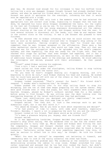gear bay. He shouted loud enough for his colleague to hear his muffled voice telling him a wire was damaged. Grogaan thought Doraant had already checked those cables, and when he queried his friend about it, he was convinced he had done so. Doraant was quick to apologise for the oversight, informing him that it would soon be repaired with a crimp.

It was a simple task that only took a few moments once he had selected the appropriate tool and correct size crimp. Signalling to Grogaan that the task was done, he replaced his tools while Grogaan recommenced the tests. All the lights on the test set flickered on one by one. To his relief they were all green. After the tests were finished the two young engineers disconnected all the cables; Doraant starting at the nose of the ship, and Grogaan working from the rear. It took several minutes to disconnect all the leads, coil them up and replace them in the correct slots on the trolley. It was a job Doraant was pleased to have finished.

He then shouted over to Eldaan informing him that he could collect the test sets as soon as he wanted. Eldaan strolled over to Grogaan"s ship asking if the tests were successful, feeling slightly jealous that his friend was more competent than he was. Grogaan answered in the affirmative. There were a few other mechanical checks to do, but they would not take long. Then all that was required was for the astrogation data to be uploaded into the ship"s computer systems, and then hopefully, the ship was ready for the flight test. They had reached this stage far quicker than even Grogaan had expected, and it was a testament to their skills and determination, as well as the considerable number of additional hours Grogaan spent in the evenings and weekends. He stood admiring the interceptor and smiled, pleased with their achievement. He then yawned deeply.

"Tired?" asked Eldaan raising his eyebrows.

"Just a bit: I had a restless night."

Zaack called out from under the starfighter, telling Eldaan to stop talking and return to the ship with the tester unit.

"Do you know he hasn"t stopped moaning all flipping morning, and it"s beginning to drive me nuts," said Eldaan shaking his head and sighing. He wished that he could have paired off with one of the others so that he wouldn"t have to suffer Zaack's constant moaning.

Grogaan looked concerned. "That"s unusual for Zaack." His friend didn"t respond. 'I wonder what's bothering him,' he thought.

Eldaan pushed the trolley over to his ship telling Zaack to stop his whingeing, and the two of them then began preparing for the system checks. They were good friends even if they did argue, but their arguments were always light hearted. Grogaan, amused by Eldaan"s outburst watched them for a few moments before going to find Doraant. He was sitting near the desk looking over the engineering drawings of the latest modifications they had performed.

"These last modifications you designed are pretty complicated," he said scratching his head. "Bet they took some time to do?"

Grogaan smiled. "Yes they did. It took a few evenings work to get the dimensions right, but it was well worth it."

"You amaze me Grogaan. How do you know so much about engineering and design?"

"I"ve had plenty of time to learn, with some good teachers, especially Trindall. Besides, I learnt a lot in preparing the work for you and the others."

Doraant looked at his friend. "And where would we be without you?"

"It's been a pleasure helping you. Anyway, what are friends for?"

Doraant smiled.

As it was approaching lunchtime, Grogaan decided they would make a start on Doraant"s ship after eating. The two wandered over to see how the others were progressing and to hurry them up. While Zaack and Eldaan were fitting the last few components, Grogaan and Doraant checked over the rest of the ship in preparation for the testing. Grogaan was quite surprised when he found a faulty connector. "Definitely unlike Zaack to miss something important like this, it must be serious to affect him in this way,' he thought. He told his friend quietly.

"What! You must be joking?" he responded, not believing it himself, and immediately went to look at the faulty connector the other had found.

He was shown what the problem was: The soldering at the connector joints was deteriorating allowing the cables to slip loose. Eldaan scratched his nose, rather surprised and annoyed that he too had over looked the fault, but didn't prevent Grogaan from carrying out the repair for him. It took about five minutes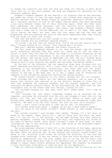to change the connector and then the ship was ready for testing. A short while later with all of the tests passed, the ship was prepared for uploading all the necessary computer data.

Grogaan"s stomach rumbled. He was feeling a lot hungrier than he had realised, and asked the others if they too were hungry. His friends were surprised at the question because they were always hungry by lunchtime, especially Doraant. There was a unanimous decision to dine at the Daspin Cantina where they were guaranteed a big juicy Monkrat steak; one of their favourite meals. After the other tests were completed, the young engineers left the facility still wearing their coveralls going straight to the Daspin. Once there, they ordered a Monkrat steak each and a large jug of chilled Mabraleen ale to wash it all down. They spoke little during the meal, but what they did talk about was how the work had progressed, and anticipating the thrills they would experience when they finally took the ships for their test flight.

"Now that was delicious, and just enough to fill the gap," said Grogaan.

"Just enough! Are you kidding?" queried Doraant.

"Of course I am, but then you should know. You"re the one who usually eats the most." Doraant glared at his friend. "Only teasing pal," he said.

"Why you!" replied Doraant laughing, the others joining in.

The four young men debated whether or not they had enough time for another drink, eventually deciding they had. After all, there was no rush for them to return to work; they only had the other two ships to finishing connecting up and testing. Much to Zaack"s displeasure it was also decided that it was his turn to buy the drinks. The second round of Mabraleen ale left the four friends quite jovial and ready for the afternoon's work. As the sun was shining, they strolled casually back to work enjoying the warmth and the break from being indoors.

By the end of the afternoon the two remaining ships were finished with all tests completed satisfactorily. With a final check over the ships done, only the uploading of the astrogational, navigational, and other data onto the ship"s computers was left to do. Grogaan had already set up the data onto the computer console in the bay a few days ago, so it was a simple task of connecting the computer to the navigation system and starting the upload process.

He stored certain information in his ship"s systems but not his friends". These included the star charts for the Ladorran Quadrant, and an area of the galaxy that Collatin had referred to as the Galactic Extreme or Outer Rim, an area that bordered the Ladorran Quadrant and the Gaashox Quadrant, and also contained the Mantoa asteroid belts. He was disconnecting the cable from the last interceptor just as the others came into the bay, looking for him.

"You finished loading all that data stuff yet?" asked Zaack. "It"s time we were going."

"Just finished the last ship," responded Grogaan as he switched off the computer, retrieved the microdisk from the slot and slipped it back into his top pocket. All that was left now was the functional checks to make sure the navigational computer was reading the astrogation data and processing flight data correctly. "We need to do the final checks, but that can wait until morning."

"Good. I don"t think I"d be able to take "em out now, I"m shattered."

"It's hardly surprising Zaack. I suggest we all get a good night's sleep."

"You not going to the Klaret tonight?" asked Doraant as they headed towards the exit.

"Not tonight Doraant," said Grogaan then yawned. "Anyway, I"m a bit short of money at the moment. Spent nearly all I had on those last few parts the other day. I'll see you all in the morning." He had been working very hard recently, packing equipment, loading and unloading the ship, and organising his stores at his base on Breolis Seven, after which followed a week of hard graft on their interceptors. Now it was catching up on him, made worse by the disturbed nights' sleep he was experiencing.

The young engineer started to walk off in the direction of his home, realising he had forgotten to pick up some of his hidden money from Breolis Seven while he had been there the previous day. He was annoyed and silently cursed himself for being so lax. Strolling along slowly he noticed the direction of the wind had changed since lunchtime. It was now coming in from the south bringing the hotter equatorial temperatures into the area. Summer was on its way and the extra long days where he could spend more time in the mountains and at the lake, if he could manage to remain there without becoming too depressed. Now however, he possessed a fully functional interceptor to take his mind off his depression.

"See you tomorrow Grogaan," shouted Doraant, deciding that he would go for one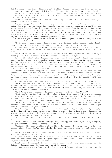drink before going home. Eldaan shouted after Doraant to wait for him, as he was in desperate need of a good drink after all their hard work. "You coming, Zaack?"

Zaack declined claiming to be too tired, which was unlike him. He rarely turned down an invite for a drink. Turning to see Grogaan heading off down the road, he ran after him.

"Wait a moment Grogaan, there"s something I need to talk about with you, that's if you don't mind."

Grogaan stopped until Zaack caught up with him. They walked slowly side by side; the one, who had known his parents but had lost a father and a brother; the other never having known his parents who were killed when he was only two years old, and was cared for by his grandparents. They had known each other for about ten years, and Zaack regarded Grogaan as the brother he never had. Grogaan was surprised when his friend told him he was the only person he could trust, and who may be able to help with a serious problem he had.

"I thought you'd speak with Trewern. He's been a good friend to you, and much longer than I have."

"I thought I could trust Trewern too, the devious lying creep," said Zaack. "Damn Trewern," he spat out his name in disgust, "he is the problem."

Grogaan was rather astonished. He believed Trewern was a trustworthy type of guy, especially considering he was Zaack"s cousin. "How wrong one can be?" he mused.

"He used to be until he decided that money was more important than loyalty." Zaack paled. A tear appeared at the corner of one of his eyes.

It was the first time Grogaan had ever seen him so upset. Zaack had always been the tough one, the positive type, very similar to Grogaan in many aspects. Nothing ever seemed to ruffle his feathers, or cause him to worry. "I knew there was something troubling him. This must be serious,' he thought. All through the day Grogaan had felt inclined to ask, but it had never seemed to be the right time. "So Zaack, what's the problem?"

Zaack"s shoulders dropped a little. "Last week Trewern went over to the Gretanchen district and got involved in some sort of finance scam that backfired. He's now up to his armpits in serious trouble with the authorities. The bad side is that somehow my name was dragged into it, and now I"m in trouble with the authorities too."

Grogaan detected the concern in his friend"s voice. "What sort of trouble?"

Zaack dropped his head in embarrassment, but knew that his friend would understand his situation and not make fun of him. "This afternoon I was contacted by the finance authorities," he said swallowing hard, "and they informed me that I owed them ten thousand credits."

"Wow! That"s some trouble. He really landed you in it, didn"t he?"

"That ain't the half of it. They also informed me that if I don't discharge the debt within seven days, they"re going to prosecute me. I don"t have to tell you what that means. What am I going to do?" Zaack was panic-stricken.

Grogaan could see this was really causing him grief. "Try not to worry about it Zaack. I'll do all that I can to help. My mother knows some influential senators, and come to think of it, Trindall does as well. I"m sure I could get them to intervene on your behalf."

"Thanks. You really are a good friend, the best." Zaack felt deeply grateful to his friend, and even managed to offer a smile. Zaack found that Grogaan was always there to offer his help and support to him when he needed it, just as he and the others were there for Grogaan.

"And if they can't, well damn it, I'll sort it out myself. You just wait and see."

Zaack looked at his friend through sad, but appreciative eyes. "Hey Grogaan, now you mustn't go doing anything foolish."

"Foolish? Who said anything about that? Of course I won"t, but you know me better than that. You're friendship is more important than my ambitions and needs."

Zaack interrupted him. "Hey, now wait a minute. No way are you going to sell anything, especially your ship."

Grogaan smiled. "Not the interceptor, no, but I do have other things." Zaack went to interrupt him, but Grogaan spoke first. "Now I don't want to hear anything more about it now, alright?"

Zaack nodded although he was feeling really bad, and overwhelmed at his friend"s determination to help him out of trouble.

The two stopped at a junction in the road, and Grogaan placed his hands on his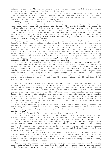friends" shoulders. "Zaack, go home now and get some rest okay? I don"t want you worrying about it anymore. You leave this to me."

Zaack nodded. He had cheered a little, but remained concerned about what might come to pass despite his friend"s assurances that everything would turn out well. He looked at Grogaan. "Friends like you are hard to come by. I"ll see you tomorrow, and thanks. I mean it. I really do."

"Yeah, I know. I'll see you in the morning."

As Zaack walked away from Grogaan, he wondered how his friend would sort this mess out, especially if it meant him finding the funds himself. He began to realise that maybe his friend was far better off than anyone ever believed, considering he had already purchased four ships and all of the parts to upgrade them. 'Maybe he's got the money stashed wherever he's been disappearing to these past months,' thought Zaack. The thought of his friend helping him out, which he knew he would somehow, helped him relax considerably, but he also knew he would never be able to repay his friend.

Grogaan watched his friend for a few moments as he walked off in the opposite direction. There was a definite slouch to his shoulders, although he was sure he saw the slouch reduce after a while. It was at times like these that he wished he and his friends could just get into their ships and fly off and explore the galaxy, leaving all their troubles behind, but he knew that would not really solve anything, and most probably cause more problems. 'Damn that cousin of his,' he cursed silently. "If I get my hands on him I"ll teach him a thing or two. By Asaph's beard I'll get him out of trouble, even if I've got to fly all the way back to Breolis Seven to get my money." He kicked a large stone sending it careering off the road and then continued walking home.

As he walked he recalled some of the stories Collatin had told him, especially those about the Uprising and how the 'Confederation of Star Systems' succeeded in defeating the Belocian Empire against overwhelming odds. He fantasised about being included in the fighter squadrons of the Confederation, flying alongside Sorann, David and the others but that was all a dream. Little did Grogaan know that events were unfolding that would again change his life forever! His longing to take the starfighter into space for his first battle became even more intense, but now he wondered if he ever would get the chance after the MDA had turned him down a fourth time.

By the time Grogaan arrived home he felt very tired. 'Must be the weather,' he uttered quietly to himself. "It"s definitely a great deal hotter than usual for this time of year.' Throwing his leather jacket onto the table in the hallway as he entered, he called to his mother to see if she had returned home. His mother answered saying that she was in the kitchen, her voice muffled by the closed doors. He went into the kitchen and sat near to where his mother was preparing his favourite pastries for dinner. Looking intently at her with his elbows on the table, his chin resting in his hands, he asked whether she knew any senators. She stopped what she was doing, walked over to sit near her son and as she wiped a smudge from her face, asked why.

"One of my friends, you know, Zaack?" His mother nodded. "Well, someone he knows very well, actually a cousin of his, ended up in serious trouble after a failed finance scam. The problem is he brought Zaack into it even though he was not involved."

His mother frowned. "That was an appalling thing to do."

"My sentiments exactly. The worst thing is that the authorities have informed him that if he doesn't pay the debt in one week he'll be prosecuted as well, and then there will be no chance of his ever getting enrolled into the Academy."

His mother asked how much the debt was and gasped in shock when Grogaan told her it was at least ten thousand credits. She now understood what he was leading to. "So I presume you would like me to have a word with one of those senators, see if I can persuade him to realise that your friend had nothing to with the scam, and get the debt cancelled."

"If it's not asking too much," he asked optimistically. Grogaan knew the chances were low, but he wanted to clear his friend"s name through the proper channels if possible. If not, then he would fly to Breolis Seven and sort it out himself. He was not going to let his friend suffer for something he had not done, regardless of the cost to himself.

His mother was unsure if she could do anything to help, not knowing Zaack all that well. After her son had told her how much he trusted Zaack, how important their friendship was, and that he was drinking in the Klaret Diner with his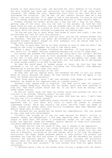friends at that particular time, she believed her son"s defence of his friend. The main problem she faced was convincing the authorities of the young man's innocence. She rubbed her chin, depositing more flour on her face while she considered the situation. "Let me see. Oh yes! Senator Larront owes me a big favour," she said smiling. "I"ll speak to him in the morning. I"m sure he will be able to arrange something now we have something definite to clear Zaack's name."

Grogaan thanked his mother giving her a big hug and a kiss on her cheek, getting some of the flour onto his own face in the process. He told her that Zaack would be ever so grateful, and was pleased that he had such a considerate mother. Helping himself to a piece of fruit from the bowl on the table he took a big bite, while his mother returned to preparing the evening meal.

"So how was your day at work? After that dream of yours last night, I was very worried when you left for work this morning."

He wiped the trickle of juice from his chin, and saw the concern etched into her features. "The day was just great. We finished all the work on the ships and provided Trindall doesn"t change our work schedule, will be taking them for a flight test tomorrow morning."

"Now that is good news. You"ve all been working so hard on them for what," she paused as she tried to remember how long it had really been.

"About a year," said Grogaan finishing her sentence. "A long hard year, but well worth it," he added, smiling, something Kareana saw little of these days.

His mother was pleased that everything was going well, but couldn't believe that it had been so long since he first purchased their ships. It suddenly came to her that it must have cost a small fortune to buy and modify four ships. She tilted her head sideways in thought facing her son, and asked how he had managed to raise enough credits to do what he had done.

He knew she would begin to wonder sooner or later. He told her they had purchased a lot of the components, including the starfighters from Mabraant Engineering at prices much lower than usual.

Kareana looked questioningly at her son.

He knew that did not explain much, and wondered how best to tell his mother where he really obtained the money. He took another bite from the apple in his hand, his mother waiting patiently.

"Over three years ago, after I met that merchant from Shaqua in the Ladorran Quadrant, he showed me his temporary base on a nearby planet."

Kareana"s eyes opened wide in surprise. "You mean you"ve been off planet?" Grogaan nodded sheepishly, knowing that his mother would have done anything to stop him. "And which planet would that be, if you don"t mind me asking," she asked rather sternly.

He did not really mind, but knew his mother would have pressed him until he told her if he refused. "Breolis Seven," he said coyly.

His mother almost fainted. "Nearby you said, that must be, well, I don't know how far, but it's in another system!"

"It's also the closet inhabitable planet outside our system," he said. He then explained that it took about four hours to reach the planet at standard lightspeed travel, which was actually one point two-five times the speed of light, making the planet about five billion kilometres away when Mabraant and Breolis Seven were at their closest.

The distance her son quoted was far beyond her comprehension. She just glared at him, eyes wide with astonishment.

"Collatin has allowed me to use his base because he doesn"t utilise it anymore, except for emergencies. I did some exploring when I was over there a couple of years back. The planet is uninhabited, except for the usual animals, birds, and reptiles. There are however, several species of large wild creatures, including something called a Zogal dragon."

His mother did not like the sound of that, and it showed in her expression.

"They can grow as big as a two storey building and are very ferocious, but they live out in the isolated desert regions. The base is carved into the rock face of a mountain, utilising an old cave system, which is far from the dragon's territories. The Zogal dragon produces pearls to help protect the primary and secondary gut from the grit and stones it ingests, and the secondary gut usually contains the smallest pearls. They are beautifully coloured and priceless; usually about two centimetres in diameter, but occasionally three, and they are the rarest and the most valuable." He took another bite from his apple before continuing.

"I obtained quite a few of the stones after killing a dragon with the ship"s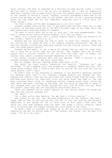laser cannons. The meat is regarded as a delicacy on some worlds, takes a little getting used to though. It's not as nice as Monkrat but I like it, especially when spit roasted over an open fire," he said. His mother gave a look of distaste at the thought of eating a lizard. "Anyway, Collatin purchased a good few of the stones from me when he last came to the system, and that is how I obtained enough money for the ships and all the components required, plus a little extra for other things."

"So that's where you've been disappearing to all this time?"

Grogaan nodded, assuring her that it was quite safe and that there was no need to worry. He had been using one of the MCF"s Trindall kept at his home, which had been extensively modified thanks to Grogaan.

"No need to worry! With you so far on your own," she said exasperatedly. "You know I always worry, and with those raiders, it's just not safe!"

"Well, it's a known fact that a single fighter doesn't draw the attention of the raiders. There's no profit in it."

Kareana was not convinced, but had to learn to trust him. "Anyway, thank you for telling me. It makes me feel a lot happier knowing everything." She got up and then paused, turning her head back towards him and looking curious. "Just how much are those pearls worth?"

Grogaan smiled again. It was a smile his mother had not seen for some time, and it gave her a little hope for the future. "The largest ones can be worth around half a million credits if you can find the right sort of buyer, the smaller ones, about a hundred thousand depending on the colour."

His mother couldn"t believe what she was hearing. "Half a million or one hundred thousand credits?" she said, astonished.

Her son nodded, smiling, feeling rather smug about it all.

She shook her head slowly, breathing out heavily. "Goodness me," she exclaimed. "I don"t suppose you," she paused as it suddenly dawned upon her. "All those extra credits that I haven"t been able to account for are from the sale of those pearls, aren't they?"

He didn't have to say anything in response to his mother's question, because his beaming smile said it all. Kareana laughed quietly and thanked her son, hugging him tightly. Such was her gratitude that tears flowed from her eyes. Life had been much easier for them both since the extra money had come in. She had been concerned about using it, wondering whether someone would later inform her that there had been a mistake at the bank, and she would be required to repay it all. Grogaan knew that his mother enjoyed her work, and so never told her where the credits came from, but now realised he should have done so.

"Have you checked you"re credit deposit at the central bank?" he asked her when she had finally released him.

"No. Why?"

"Do it when you"re next passing. You may have a little surprise."

She looked at her son, who resisted elaborating on the subject. She had a vague idea of what he was telling her, but not of just how much he had actually deposited. It was enough for her to never have to work again. "Now then, how would you like some Pargaran stew for tea?" she asked a little croakily, tears still trickling down her cheeks leaving tell tale marks in the flour.

He didn"t need to consider an answer as it was one of his favourite meals, especially the way his mother made it. "Yes please, and thanks. Call me when it's ready. I'll be in my room."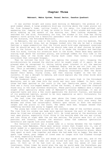# **Chapter Three**

### **Mabraant, Mabra System, Fazaal Sector, Gaashox Quadrant**

It was another bright and sunny warm morning on Mabraant; the promise of a good summer ahead. A large predatory bird was circling above the lower plains not far from Grogaan"s home, calling loudly to its mate, its high-pitched call awakening him. Jumping out of bed, he stood in front of his window and stretched while soaking up the warmth of the morning sun. Then looking skywards, he searched for the bird. Fortunately for him, the window in his room was facing magnetic north giving him a beautiful panoramic view of the lowlands, plains and in the distance, the Potrodand Mountains.

On Mabraant, the sun rose in the north, shining directly into his bedroom. The sky was a brilliant blue, but as Grogaan looked into the sky he had a strange feeling: a vague premonition that the future would hold some unpleasant surprises that he should be wary of, and that he should take care of what choices he might make in the future. He shook his head as if to shake the thoughts and feelings from his mind, turning his attention back to the birds. There were many species soaring high above the northern plains, and although common for this time in the morning, many of the birds were flying much lower than normal; a strange occurrence that intrigued Grogaan.

Then he noticed the bird that was making the unusual call. Grasping the microbinoculars he scanned the skyline until he caught sight of it again. He was pleased when he recognised it, having taking great interest in all the species that lived on Mabraant. It was a Grederant Eagle, and he saw not just one, but ten. 'This is extremely unusual,' he thought, as he watched the eagles with great interest. They were soaring gracefully, swooping occasionally when the males neared their mates, flying close, and then soaring higher on the hot air currents. It was a delight to behold, and could explain why the other birds were flying lower than usual.

The Grederant Eagle was a predator, making its nests high in the Potrodand Mountains, and to see them this far south was very rare indeed. In fact, only three had been spotted so far south in the last twenty-one years. Its primary food was a furry six-legged mammal called the Tordal, a small hog-like creature found only in the high northern mountains. These particular mammals were a highly sought after speciality among some of Mabraant"s wealthy personage. It was an acquired taste and only a few could appreciate the distinct flavour, and because of its preferred habitat, proved to be very expensive as well: fortunately for both the eagle and the Tordal.

The last time the eagles were seen above the lower plains severe storms followed within days of the sighting; storms that occur only once every few decades and often had catastrophic effects upon nature in both the mountain ranges and the plains to the south. The omens were bad. Grogaan sensed that something terrible was going to happen and soon.

The young man loved living here on the southern edge of the northern plains. The view from his window was made more special because the part of Herloan city where he lived was situated on a small hill. He loved gazing at the mountains and vast open plains, especially first thing in the morning when the sun was rising, and last thing at night when the sun was setting. The plains were full of rich pastures and forests, whereas the mountain areas had numerous spectacular waterfalls and rapids took your breath away.

His favourite location was a large lake in a valley between the two highest mountains, Lake Mabreese. There were several rivers that flowed into it, one of which ended in a spectacular waterfall with about a forty-metre drop. He spent much of his free time there since Miranda died. It was her favourite place, where they spent so much time together and where she had made him so happy. Now when he spent time there, past images of loved ones no longer with him flashed through his mind, especially Miranda.

At times he would just sit and dream of his days spent with her, and of the love they shared. These times not only filled him with joy, but also grief and pain. It felt as if he had lost an arm, such was his sense of loss and loneliness. Other times he would plan the way he would make the Krelathans pay for what they had done, and some days he would simply sit and think about leaving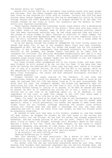the Fazaal sector all together.

Beyond this valley there was an extremely long winding canyon with many gorges and outcrops. This was where Grogaan had practised and honed his flying skills ever since he had received his first ship at sixteen. Collatin had told him many stories about Sorann Taggash"s exploits and how he developed his skills by flying through canyons and other dangerous areas, so Grogaan decided to do the same. His friends thought he was crazy at first, but gradually saw the benefit as their skills also improved considerably.

These canyons channelled the occasional winter storm waters into a devastating river that flooded the upper reaches of the plains. There were also many caves in the higher areas of the canyons, some of which once contained precious jewels that had been over-mined centuries ago. He had often explored them and found a few stones of value hidden in small crevices or difficult to reach ledges, but mostly all he found were Marandiote gems that were of no real commercial value at all. He still collected them though, not for himself but for a young woman he knew who loved them, and who rarely visited now.

As he sat gazing through the window he remembered the first flying lesson his father had given him. It was in the standard Manta Class twin seat starship, designated an MCT, and the one that his father had bought him for his sixteenth birthday. It was a small atmospheric ship designed originally for training new recruits at the academy, but became freely available as an ideal form of transport for civilians. His abilities developed exceptionally well and in a very short time, surprising even his father. After having passed his preliminary and standard stage flying tests, Grogaan taught his few friends to fly, and together they explored all the canyons they could find.

His three friends often accompanied him on his flying trips, and even after many flights, he still proved to be far too fast for them. It was here that they would be testing the modified MCI's after they had been well tested at altitude, just in case of a systems failure. He still had the MCT in his garage, which he was determined to hang on to just for nostalgic reasons, even though he now had a Manta Class Interceptor, the latest and most advanced starfighter available in the Gaashox Quadrant.

Grogaan watched the eagle soaring on the thermals. It was free and unrestricted, knowing it could fly wherever it wanted, and wished he could do the same. He realised that his life was being lived as if he were incarcerated. The grief over his loss, the traumatic dreams, the stress and depression were all restricting his life. He wanted to be free from it all; to be free to go wherever he wanted without having to justify it to anyone, to do what he wanted and when he wanted. He felt as if something was calling out to him, a voice in his head telling him it was time to do something about it, to do whatever it took regardless of the cost; to make that change in his life that would make a difference, not only in his life but in the lives of others.

'Damn, I'm late,' he said as he noted the time on the chronometer. He quickly washed and then donned his new dark green flight suit; the one his mother made specially. After a little persuasion, his mother had agreed to make three more flight suits for his friends, although obtaining the correct sizes without letting his friends know why had been a challenge for him. Now they were completed and just in time for their first test flight, he knew his friends would be pleasantly surprised.

He checked to make sure they were in his holdall, grabbed it, and then headed off down stairs. He dropped his holdall by the coat stand in the hallway and walked briskly into the kitchen. He saw that his mother had already prepared his breakfast, and was already putting on her coat for work. "That"s the good thing about living at home,' he thought, although until Miranda's death he had really desired a place of his own. Since her death however, he had found it almost unbearable spending long periods of time alone, and if he did, he became very depressed, so was no longer in a hurry to find a home of his own.

"In a bit of a rush today are you son?" said his mother.

"I am actually," he said sitting on the chair.

"Nothing bothering you is there?"

"Not this morning," he said positively. "As a matter of fact I had an exceptionally good night's sleep. I was just thinking about the flight test, and whether or not the ship will perform as well as we expect them to."

His mother told him she was convinced everything would be just fine. After hearing from Trindall what excellent engineers her son and his friends were, she knew there would be no problems, or at least nothing that could not be resolved,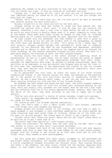something she seemed to be more convinced of than her son. Grogaan nodded, sure that his mother was right. If only he could be as confident and sure.

"Anyway son, I had better be off, can"t be late now can I? Especially with that important matter you asked me to try and resolve. I"ll see you tonight and good luck for today."

"Thanks, we'll need it more than you, but I'm sure you'll be able to persuade that Senator without too much difficulty."

Kareana kissed him on the cheek and left by the back door.

Grogaan smiled at her when she turned to close the door behind her. She returned the gesture with a short wave. 'I sure do hope you can convince the Senator, otherwise I will have a long trip to make before the end of the week.' He would not mind flying to Breolis Seven even if it meant sleeping on route, but at the moment there were many other things he needed to take care of, although getting Zaack out of trouble would become far more important than his own needs.

He then tucked into his breakfast and then washed it down with a glass of fresh milk. Picking up his kit and the holdall from in the passageway, he opened the front door and walked briskly to work. 'It's going to be a great day,' he said quietly. Grogaan walked upright and confidently, which was in complete contrast to the previous day when he was miserable and depressed, shoulders slouched and no desire to work. He arrived at the complex and as he entered the outer workshop, he saw several engineers already milling around. They were in a good mood despite the shortage of work, and that pleased Grogaan.

Walking across the main hangar a few others shouted a greeting, which he reciprocated. He was in a great mood, and he swore nothing was going to dampen his spirits today, not even if they experienced problems with their ships. Although his expectations were high, he refused to become overconfident about his abilities as an engineer; no one was perfect and Grogaan knew he was far from it. He also knew that regardless of how experienced and cleaver he and his friends were, they were dealing with electronics and mechanical components, which were susceptible to failure.

As he approached the crew room, he heard the sound of his three friends laughing and joking. It was nothing unusual for them, and whereas on the previous day it had grated on him, this particular morning it immediately lifted his spirits. He had a good feeling about today. It was the day that would start a chain reaction altering his life and that of his friends forever.

He grabbed the door handle and swung the door open. The noise stopped suddenly as he entered the crew room. At first his friends were concerned because he was late, which was usually very uncommon for him except when he had had a bad night and was suffering from one of his severe depressive moods. However, when they saw the smile on his face, they were relieved to see him so happy and in good spirits.

"You"re late this morning!" a chorus of voices sounded, tinged with sarcasm.

"Very funny," he responded and dropped the two holdalls onto the table. "You all ready for the big one?"

"Of course we are!" His friends replied unanimously.

"Hey, now that"s what I call a smart flight suit," said Doraant, impressed with the flight suit that Grogaan was wearing.

Grogaan pushed the holdall nearer to his friends, and told them to open it. Zaack grabbed it and unzipped it with confident expectation. He slowly parted the sides revealing some dark green items of clothing. Taking one of the items out, his face lit up with delight. The others drew in closer to get a better look.

"Flight suits! Wow! These are great! Where did you get them?" asked Zaack as he held one up to get a good look at it.

"My mother made them specially," said Grogaan proudly.

"These are excellent! Far better than the ones used by the MDF. She"s a gem that mother of yours, you know that," said Zaack excitedly.

Doraant and Eldaan took hold of the other two flight suits and were equally astounded, even more so when they saw the name badges on the right breast pocket. Grogaan told his friends to get suited up so that they could get on with the flight tests. They needed no more encouragement.

The four young men climbed into their ships, strapped in, and performed the pre-flight checks thoroughly. All systems checked out ready and functioning. With a little trepidation Grogaan activated the thruster coils. They started whining and after a few moments, the ship slowly lifted off the ground. Applying more power, it rose higher until it had cleared the bay doors, and then three other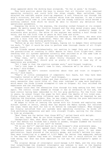ships appeared above the docking bays alongside. 'So far so good,' he thought.

They held position above the bays to ensure that all thruster coils remained operating correctly and could hold the ships steady. When satisfied, they selected the sublight engine start-up sequence. A soft vibration ran through the ship's structure, and then a low constant whine from the engines. It was a sound that Grogaan would come to love hearing, and the steady vibration would become a soothing comfort from which he would be able to discern any deviation from operational parameters.

Engaging the drive to the engines, the starship inched forward at its slowest speed. He gently eased the throttle forward and the ship moved slowly away from the complex, then increased the pressure so the ship gradually began to accelerate more quickly. The whine of the engines was sending a buzz though his veins, and for the first time in years he felt free and alive.

Zaack sounded elated as he relayed his feelings to the others, who were also getting a buzz from the experience. Their own ships, modified and upgraded by their own hands, were working perfectly so far.

"Before we go any faster," said Grogaan, hoping not to dampen their enthusiasm too much, "I feel it would be wise to perform some thorough checks of all flight systems first."

His friends agreed wholeheartedly, not wanting to tempt fate and so increase the possibilities of crashing to their deaths on their first flight-test. After checking that all systems operated correctly when switched on at the same time or in cycles, it was time to put the ships through their paces.

"Okay then, let"s climb to about thirty thousand for the full flight performance checks. That should give us plenty of height in case any of us experience any problems."

"All I hope is that the ejection systems work," said Doraant laughing.

"Let's just hope it doesn't come to that, otherwise we'll be short of a ship or more," said Eldaan.

"I suggest we don"t concern ourselves about that and trust in Grogaan"s skills," said Zaack.

"That's of little consequence if components fail Zaack, but they have been thoroughly tested so we'll be fine," said Grogaan.

The four pilots climbed higher and then started to engage their ships through every manoeuvre they could think of. They even indulged in some mock dogfights, which meant the three friends attempted to take on Grogaan. All four relished the experience and the challenge.

Grogaan could feel the adrenaline flow through his body making him feel free again. The control column seemed as though it was an extension of his arm, the hand control having been remoulded to fit his grip perfectly. For the first time in years, he almost forgot the anger he felt about the deaths of his loved ones. Flying always had a calming influence upon him, except when he imagined he was fighting the Krelathan raiders. Now, he was simply feeling the pure exhilaration of flying at high speed with nothing to restrict him.

He began to think of leaving the system with his friends and exploring some distant system or sector, seeing what was beyond the Mabra System, but resisted the urge; there was much for him to do before he indulged himself. When Grogaan was finally satisfied that all systems were operating correctly, he broke off from performing manoeuvres and went into straight flight, waiting for the others to form up alongside.

"Wow! These are far better than those MCT"s," yelled Zaack with delight.

"You bet, Zaack. What do you think Grogaan?" asked Doraant.

"Exceptional! Now, what about seeing how fast these lovely ladies can really fly?" But before his friends had a chance to answer, Grogaan slammed the throttle full forward. "Catch me if you can?" he howled.

"Oh no you don"t!" replied Zaack as he saw Grogaan"s ship accelerate away.

The other three pilots opened their throttles to full and gave chase. The starfighters raced through the atmosphere like shooting stars. It was sheer exhilaration. Zaack glanced at the velocity gauge, and couldn"t believe his eyes. They were travelling at a speed of 3,523 Kmph, far better than expected, making it the fastest fighter they knew of. Grogaan said that it would suffice for the time being, but what was more important to him was the starfighter"s speed in space.

The original design of interceptor could manage 3,016 Kmph, and the only ship that outperformed the standard interceptor was unknown to most in the Gaashox Quadrant: The Imperial Zilon interceptor, which could reach speeds of 3,308 Kmph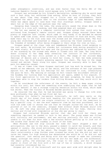under atmospheric conditions, and was even faster than the Delta XB1 of the Ladorran Republic Forces which could manage only 3,109 Kmph.

Doraant was astounded by his friend"s declaration, wondering why he would need such a fast ship, but refrained from asking. After an hour of flying, they felt it was about time they stopped for a little rest and refreshments. Zaack suggested the small pasture next to the southern edge of Lake Mabreese, where there was ample space to land more than four starships safely. Grogaan owned a small hut on the edge of the pasture near the lake.

Swooping down towards the lake, the young pilots eased the ships down on the thrusters to a nice soft landing, and then powered down all systems.

The hut was sealed by a computer controlled lock system that could only be activated from Grogaan"s remote control pad. Grogaan always ensured there were plenty of supplies left inside, which came in very handy if he decided he wanted to spend some time alone. After selecting some containers of food and drink, they made their way to the flat area near the stream and set everything down. The four young men stretched and breathed in deeply, savouring the fresh scented air, and the freedom of movement after being strapped in their ships for over an hour.

Grogaan gazed at the clear lake and remembered how Miranda loved swimming in the cool water. He pictured her slender but curvaceous body moving gracefully as she swam slowly. He closed his eyes and the picture was replaced by another, one of her standing by the stream near where it flowed into the lake. Her long white dress clinging to her damp body revealing the contours of her curvaceous, alluring body, her hair still pinned in a knot. The image if her stirred deep feelings of desire and a longing to hold her close, to feel her body pressing against his, her firm breasts pressing against his chest. The face in the image turned and smiled. Tears stung his eyes. Grogaan was scarcely able to bear the pain his memories caused.

It was at times like these Grogaan realised just how much he missed her, the warmth of her embrace, the joy of her smile, and the softness of her lips pressed against his. He sighed as his feelings for her continued to rise, intensifying the pain he felt. The feeling of outrage he felt toward the enlistment officer at the Academy for turning down his application yet again, added to his anguish. If his first application to join the Academy had been accepted, he knew he would have been able to stop the raiders from killing Miranda, and they would still be together.

As he considered the unfairness of the events, he felt a deep anger rising within his soul, but there was something else underlying that anger that he had not felt before: it was a strange tingling sensation within his mind, which made him shiver. Then the visions of Miranda become painfully clearer.

He recalled the day that he had believed was going to change his life even more profoundly than when he had first met her.

*Borrowing his father's two-person hovercraft, he left very early on the fourth day of his break from work heading for the precinct in the heart of Herloan City. He went with one single intention; to call in at the jewellers to buy a special ring. It was the most expensive item he had ever purchased, and it took him some time to choose the one that he thought suited her the most. As he pointed it out to the jeweller, Grogaan knew without doubt Miranda would love it. He left the shop excited and headed directly for her home, feeling very nervous and filled with trepidation at how she was going to react.*

*Grogaan had contacted Miranda earlier that day and told her there was something important he needed to talk to her about. The young woman was filled with curiosity and excitement, and was waiting anxiously for him to arrive,*  unable to sit down for more than a few minutes before getting up to look out of *the window that faced the roadway in front of her home.*

*When Miranda saw him stop outside her home her heart skipped a beat in anticipation. She ran to the door, paused a moment to catch her breath, and then opened it calmly. She stood motionless, her heart thumping wildly and wondering*  what he wanted to talk to her about. The thought that it might be about taking *their relationship a step further even crossed her mind, but she did not want to raise her hopes too high knowing how devastated she would be if he did not ask the question. Just seeing and being with him was enough to make her intensely happy, although the extra little things he did for her made all the difference; the small gifts, the evenings out, the trips to the lake, and for the quiet nights in front of the fire with a hot cup of tea or Lokarsh, a drink Grogaan had recently introduced her to.*

*Grogaan got out of the hovercraft and his eyes went wide with delight when he*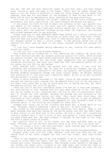*saw her. She was the most beautiful woman he had ever seen, and that beauty never failed to make him weak at the knees. "Shall we?" he asked, taking her hand in his. He found it difficult to keep his voice steady and his hands from shaking; such was his excitement at the prospect of what he was about to do. Never had he felt so apprehensive about anything he had done previously.*

*"I'd love to," she replied, the slight trembling in her voice revealing her excitement, her smile captivating. She leant forward and kissed him gently.*

*It was almost too much for him to bear: the softness of her lips against his, the warmth of her breath on his face, and soft gentle voice sounding in his ears. He wanted to ask her right away without taking her to the lake, but knew that would spoil the surprise, although he was under the suspicion that Miranda had already guessed what he was planning.*

*Grogan took her to Lake Mabreese where they walked for a while, talking and enjoying each other's company. Returning to where they had left their things, they sat down and talked some more, both of them anxious about what was to come, but Grogaan wanted to wait a little longer. It was getting rather hot so he removed his shirt and lay back on the grass. Miranda smiled and stroked his chest.*

*"I love you," said Grogaan gazing admirably at her, running his hand gently across her cheek.*

*"I love you too," replied Miranda tenderly.*

*They kissed and he crushed her to him, embracing her tightly. He could feel her heart beating and feel her breasts pressing against his chest, which stirred his passion further. His hand moved seductively down her back sending a tingling sensation up her spine, but she broke away suggesting they go swimming. He consented reluctantly, and would have asked her that one question before he lost his nerve, but bit his lip and waited.*

*They removed their clothes and walked into the lake. It was cold but refreshing and invigorating. The two swam for a while but Grogaan, who was not so keen on the activity returned to the bank, sat quietly, and enjoyed watching Miranda swimming gracefully though the clear crystal water. He smiled, feeling very proud to be in love with such a beautiful woman. As far as he was concerned she was perfect in every way.*

*After a while Miranda returned to the bank, stood up and walked gracefully through the shallow water towards him. He admired every inch of her and knew in his heart that there was no way he would back out of asking her now. His heart was beating wildly, but still he waited.*

*"That was one of the most refreshing swims I've had for a long time Grogaan," she said smiling at him, knowing that his eyes were feasting on her. She loved the way he looked at her, respected her, and how he felt so passionately about her; it filled her with delight. Miranda sat beside him and shivered as the warmth of the sun began drying her body. They could hear bird song, the scurrying of small animals through the undergrowth, and yet it was so peaceful time seemed to stand still. Goose bumps appeared all over Miranda's body as she shivered again, so she stood up and slipped her dress back on.*

*Grogaan also stood, put on his trousers and faced her, a broad smile on his face. "Miranda, there's something I want to ask you," he said croakily.*

*She looked at him expectantly, her eyes sparkling with desire. Deep in her heart Miranda knew what was coming by the way he acted, and felt her heart begin to beat faster as his hand went to his pocket. He took a small felt covered box from his jacket, held it out in front of her, and opened it slowly while keeping his gaze fixed upon her. Her eyes widened in delight at the sight of the ring. She took a sharp intake of breath.*

*Her reaction said it all, so he looked into her eyes and went down on one knee. "Miranda, you are the most precious thing in my life. Will you marry me?"*

*"Yes, of course I will," she said excitedly, tears running down her cheeks as the intensity of her delight struck home.*

*He stood up and she threw her arms around him then kissed him passionately.*

*Grogaan broke free from her tight embrace, took the ring from the box and taking hold of her hand, slipped the ring onto her finger. Then they kissed again.*

*"This is the happiest day of my life Grogaan. I do so love you," she said, trying to blink back the tears. The two lovers sat close together with arms around each other, kissing frequently. Then Miranda stood, walked to the edge of the stream, her dress still clinging to her damp body, and lifted her hand so the sun would glisten off the diamond of her ring. She admired the ring, the joy*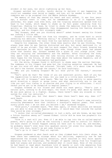*evident in her eyes, her smile lightening up her face.*

*Grogaan watched her avidly, hardly daring to believe it was happening. He could not remember ever being so happy, and now, all he needed to make his life complete was to be accepted into the Mabra Defence Academy.*

The memory of that day seared his heart and soul afresh. It was four years ago, a distant event in time, but he remembered it as if it happened only yesterday. His anger rose even more, and the tingling sensations spread from his head to his hands, which began to shake as he felt power radiating from his fingertips. Shaking his head, he tried to shake the memories from his mind. As quickly as the feelings appeared, they disappeared leaving him feeling drained mentally, and his fingers felt strangely numb.

"Hey Grogaan, what are you thinking about?" asked Doraant seeing his friend was looking a little odd.

Doraant's voice shocked him from his thoughts, and he tried hard to avoid revealing his emotions. "Nothing really," he answered as calmly as possible, and discretely blinked back the tears from his eye before his friends noticed.

Despite his response, the other three knew exactly what he was thinking. They always knew when he was feeling distracted and why, but never mentioned it, or asked if he was alright. They had too much respect for their friend, knowing how much heartache he was still experiencing, even though three years had passed since that fateful day. Doraant handed him a glass of cool orange juice, then they sat enjoying the refreshments and the weather. After finishing the food, they spent time relaxing near the lake telling stories of their younger days, their hopes for the future, of what they knew about the Ladorran Republic, and of course of how well the interceptors had performed.

All the while, Grogaan found it difficult to shake away the earlier feelings. The numbness in his fingers had gone but the tingling sensation remained. He had to get his mind off what had occurred. "Alright lads, it's about time we found out who's the fastest through the canyon," he said tauntingly.

"Who are you kidding Grogaan? We all know you"re the fastest," retorted Doraant.

"Don"t give me that! The three of you are excellent pilots. Each of you has the capabilities to match my times. All you need is a little more confidence."

"Come off it Grogaan," said Zaack. "Who has the same ability to sense exactly which direction a canyon or gorge turns, and what obstructions are in the way like you can? Your timing is so precise and your flying is so effortless. I still reckon you"ve got to be receptive to magical powers."

Grogaan frowned at his friend and shook his head gently. "That"s just a natural gift, nothing to do with magic. You think I"m good, what about my father? He was pure genius in a fighter. Anyway, there haven't been any wizards in this system for over two centuries."

"None recorded yes, but that doesn't mean there hasn't been any, does it?" said Zaack.

"Maybe, but what about the histories of Mabraant, that there"s some naturally occurring phenomenon here that inhibits a Guardian"s magical power. That would surely prove that I am not what you believe I am," answered Grogaan.

"Good point," conceded Zaack. "But then again, if those abilities are because you are able to draw on the magical powers, it would mean that outside the system they would be even stronger."

"I reckon that so-called phenomenon is just a myth, and who knows, we may have a future Guardian among us!" teased Eldaan. Little did he know how prophetic his comment was!

"Give it a rest will you. Even if I am able to tap into the so called magical powers, who"s going to give me the training I would need to control it? There"s not much chance of Sorann Taggash coming out here just to train me, and besides, he probably doesn't even know this quadrant exists let alone this system. Enough of this idle chat, haven't we got some flying to do?"

"Let's go to it then!" They all replied.

Grogaan pondered on what Zaack said as they climbed back into their ships. He knew there was something strange about his abilities, especially now he had experienced the strange tingling sensation, which resulted in very faint sparks emanating from his fingertips. The thought of sparks coming from his fingertips made him uneasy and worried, and wondered what it could mean. None of the stories he had heard or read about Guardians told of sparks or such like emanating from their fingertips. He had also noticed that he was becoming more restless in his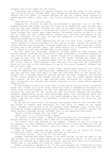thoughts and in his hopes for the future.

Dismissing the thoughts of magical powers, he led the group to the canyons they would be flying through. When they neared the entrance, they selected full sensors and full power to forward shields. He set the wingtip laser cannons to twenty percent power, using twin link firing configuration, top two and bottom two.

"Here we go!" he cried with glee.

Dropping his velocity to what he had achieved on previous runs in his MCT, Grogaan entered the canyon and set the timer as he passed the first outcrop they used as the start marker. Calming his mind as he sped along the initial long straight section, he began to visualise the layout of the canyon. Although he had flown through this canyon many times before, the mental picture he had of it was far too clear for just simple memory. Despite his continual self-denial of any magical influence in his life, he was now beginning to feel sure there was something enhancing his ability.

Sensing the left corner approaching, he let his ship drift slightly to the right, banked it, and pulled back on the control column, taking him around the corner smoothly and accurately. Straight ahead and to the right there was a small outcrop, and a few seconds later, four laser blasts hit it breaking off several small chunks of rock that cascaded down to the canyon floor.

As each bend was navigated, Grogaan"s friends began to drop further and further behind. Although the three had a slight advantage in following Grogaan as they could see the way he flew, it wasn't enough of an advantage to enable them to keep up with him. The hardest part of the flight through the canyon was closing in rapidly, four successive bends. Two of them so close and narrow, there was little time to think between them. Hesitate too long and the starfighter would hit the side at the third bend. It was at this point Grogaan"s friends lost most of their time.

At the second bend Grogaan rolled right, pulled back hard on the control column to negotiate the right-hand bend. Immediately having to level out, roll to the left and pull back hard again to take the left-hand bend. On the second run, Grogaan felt a strange sensation running through his body. Suddenly, the picture of the canyon, which he had thought was far too clear for normal memory, became even clearer. He felt as if some outside force controlled his actions, and so each successive run through the canyon resulted in his times being improved dramatically.

He had pushed his ability to the limit on the fourth run and heard a crunching sound and a slight jolt to his ship, making him have to compensate and adjust his flight path to avoid heading for the fast approaching outcrop. He knew he was a fraction too high and hit the outcrop on that third bend smashing the secondary subspace communication array, which protruded about four centimetres above the top edge of the starboard rear fin. His heart skipped a beat as he felt the jolt. 'Damn, that was too close,' he breathed, trying to maintain his focus for the fourth bend.

By the end of their fifth run through the canyon, most of the outcrops they had chosen as targets were destroyed, now just piles of rubble on the canyon floor. Grogaan still proved to be the fastest, more competent pilot of the four, although he always remained hesitant about admitting it. He couldn"t believe the timer readout, although he was confident that it was operating accurately.

"Zaack!" called Grogaan over the ships" comm.

"Yeah, what is it, nothing wrong I hope?"

"No there"s nothing wrong. I need to know how many hits the shields can take before draining to 25% power, and I need you to take some shots at me."

"You what?" Zaack was shocked at the request. "There"s no way I"m firing on you Grogaan," he said adamantly. After everything his friend had done for him, he couldn"t take the chance, wouldn"t take the chance, just in case something went terribly wrong.

"Come on Zaack, nothing can go wrong. It isn"t as if you"ll be firing continuously. Let's climb a bit higher and then do the tests."

"I"m sorry friend, I won"t do it," he insisted.

Grogaan relented and asked Eldaan if he would oblige. He was not keen on the idea either, but after Grogaan explained that it would be better to find out now whether the shields were operating correctly, and how much they could withstand, rather than in the middle of a hostile combat situation.

Eldaan reluctantly agreed to do it, but only because his friend had so much trust in his ability. Dropping back, he lined up behind his friend"s ship and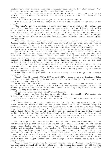noticed something missing from the starboard rear fin of his starfighter. "Hey Grogaan, where"s your standby fin communications array?"

Grogaan felt a little embarrassed at being found out. "Ah! I was hoping you wouldn"t notice that. I"m afraid it"s in tiny pieces at the third bend of the Snake Curves."

"What! You mean you hit the canyon wall?" said Eldaan aghast.

"Not really. If I"d hit the canyon wall do you really think I"d be here in one piece?"

"So, that"s how you managed to beat your previous record is it, taking too much of a risk. You know how dangerous that section is," said Zaack, not hiding his annoyance at his friend's recklessness. Zaack was unaware of the true times that his friend had recorded, and would not find out as long as Grogaan could keep it to himself. Now after breaking his fastest time by a considerable margin, he was no longer able to accept the fact that his abilities were a natural gift; not any more.

"You have to push your abilities to the limits sometimes you know," said Grogaan trying to convince Zaack that that was what he had done, and not that he could have gone faster if he had really wanted to. "Knowing one"s limit can be a great benefit sometimes, maybe even an advantage in certain circumstances."

Zaack never answered, his silence saying more than words could possibly do.

Meanwhile, Eldaan selected independent firing on his wingtip laser cannons, and fired shots to the upper surface of the rear fuselage. He took one shot at a time with a short pause between each, and then at Grogaan"s request, fired two shots at a time with a similar pause. After having taken ten shots multiple, gradually reducing the time between each, Grogaan called an end to the test satisfied that the shields were operating far above expectations.

The upgraded shield generators were recharging exceptionally well. Grogaan reckoned that the shields would be able to recharge adequately under normal combat conditions, due to the shields and lasers being powered by a separate power generator to the engines.

"What the heck do you think we will be facing if we ever go into combat?" asked Doraant.

"Apart from the usual TS5's, MCF's, and MCI's, there's always Kraylons, Zilon Fighters and Gunships, and who knows what else. Well I always say one should be prepared for the unexpected."

Satisfied that there was nothing else they needed to test, the excited pilots opened the throttles and raced back to Mabraant Engineering. Flying low over the plains gave them the thrill of extreme speed, a feeling they would not get in space, so they made the most of it.

"Where are we eating this time?" asked Doraant.

"Well, there"s either the Daspin or the Klaret. Personally, I"d prefer the Klaret, but the choice is yours," said Grogaan.

"The Klaret sounds good enough for me especially if you"re buying," said Zaack jokingly.

"That"s fine by me Zaack. Foods on me, but the last one down will buy the first round of drinks." None of the pilots hesitated in accelerating away but Grogaan"s skill got him down into the docking bay first. However hard they tried, they just couldn"t match Grogaan"s flying skills, and were not surprised at him being first down. It was as if the ship was an extension of his body. Doraant hesitated in his landing cycle long enough making sure he was the last one to land. He felt it was his turn to buy the drinks, grateful to his friend for his trust, but most of all, for all he had done for him and the others.

On the edge of the forest to the west of the Potrodand Mountains, a lone starfighter was parked on the hard ground of a small clearing. It had parked there often during the day, its pilot just sitting in the cockpit watching the plains and mountains, waiting and hoping. On this particular day, the pilot was lucky, her patience rewarded. Flight Lieutenant Joeen Parond smiled as she watched the four MCI"s being put through their paces first at altitude and then lower, before entering the mountain range. Form her position, she was able to see the ships exiting from the canyon after their flight through, and still marvelled at how fast the flight leader was, even though her estimation was more than it actually was.

Joeen longed to be able to fly as good and as fast as Grogaan, but knew there was something special about him, after all, his father had taught him all he knew about flying being a top ace fighter pilot. His brother had also been a skilful